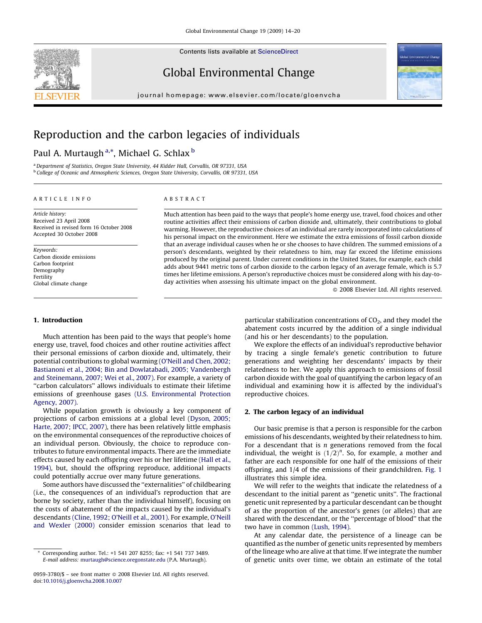



# Global Environmental Change

journal homepage: www.elsevier.com/locate/gloenvcha

# Reproduction and the carbon legacies of individuals

# Paul A. Murtaugh <sup>a,</sup>\*, Michael G. Schlax <sup>b</sup>

<sup>a</sup> Department of Statistics, Oregon State University, 44 Kidder Hall, Corvallis, OR 97331, USA <sup>b</sup> College of Oceanic and Atmospheric Sciences, Oregon State University, Corvallis, OR 97331, USA

#### ARTICLE INFO

Article history: Received 23 April 2008 Received in revised form 16 October 2008 Accepted 30 October 2008

Keywords: Carbon dioxide emissions Carbon footprint Demography Fertility Global climate change

#### ABSTRACT

Much attention has been paid to the ways that people's home energy use, travel, food choices and other routine activities affect their emissions of carbon dioxide and, ultimately, their contributions to global warming. However, the reproductive choices of an individual are rarely incorporated into calculations of his personal impact on the environment. Here we estimate the extra emissions of fossil carbon dioxide that an average individual causes when he or she chooses to have children. The summed emissions of a person's descendants, weighted by their relatedness to him, may far exceed the lifetime emissions produced by the original parent. Under current conditions in the United States, for example, each child adds about 9441 metric tons of carbon dioxide to the carbon legacy of an average female, which is 5.7 times her lifetime emissions. A person's reproductive choices must be considered along with his day-today activities when assessing his ultimate impact on the global environment.

2008 Elsevier Ltd. All rights reserved.

# 1. Introduction

Much attention has been paid to the ways that people's home energy use, travel, food choices and other routine activities affect their personal emissions of carbon dioxide and, ultimately, their potential contributions to global warming (O'Neill and Chen, 2002; Bastianoni et al., 2004; Bin and Dowlatabadi, 2005; Vandenbergh and Steinemann, 2007; Wei et al., 2007). For example, a variety of "carbon calculators" allows individuals to estimate their lifetime emissions of greenhouse gases (U.S. Environmental Protection Agency, 2007).

While population growth is obviously a key component of projections of carbon emissions at a global level (Dyson, 2005; Harte, 2007; IPCC, 2007), there has been relatively little emphasis on the environmental consequences of the reproductive choices of an individual person. Obviously, the choice to reproduce contributes to future environmental impacts. There are the immediate effects caused by each offspring over his or her lifetime (Hall et al., 1994), but, should the offspring reproduce, additional impacts could potentially accrue over many future generations.

Some authors have discussed the ''externalities'' of childbearing (i.e., the consequences of an individual's reproduction that are borne by society, rather than the individual himself), focusing on the costs of abatement of the impacts caused by the individual's descendants (Cline, 1992; O'Neill et al., 2001). For example, O'Neill and Wexler (2000) consider emission scenarios that lead to particular stabilization concentrations of  $CO<sub>2</sub>$ , and they model the abatement costs incurred by the addition of a single individual (and his or her descendants) to the population.

We explore the effects of an individual's reproductive behavior by tracing a single female's genetic contribution to future generations and weighting her descendants' impacts by their relatedness to her. We apply this approach to emissions of fossil carbon dioxide with the goal of quantifying the carbon legacy of an individual and examining how it is affected by the individual's reproductive choices.

#### 2. The carbon legacy of an individual

Our basic premise is that a person is responsible for the carbon emissions of his descendants, weighted by their relatedness to him. For a descendant that is  $n$  generations removed from the focal individual, the weight is  $(1/2)^n$ . So, for example, a mother and father are each responsible for one half of the emissions of their offspring, and 1/4 of the emissions of their grandchildren. Fig. 1 illustrates this simple idea.

We will refer to the weights that indicate the relatedness of a descendant to the initial parent as ''genetic units''. The fractional genetic unit represented by a particular descendant can be thought of as the proportion of the ancestor's genes (or alleles) that are shared with the descendant, or the ''percentage of blood'' that the two have in common (Lush, 1994).

At any calendar date, the persistence of a lineage can be quantified as the number of genetic units represented by members of the lineage who are alive at that time. If we integrate the number of genetic units over time, we obtain an estimate of the total

Corresponding author. Tel.: +1 541 207 8255; fax: +1 541 737 3489. E-mail address: murtaugh@science.oregonstate.edu (P.A. Murtaugh).

<sup>0959-3780/\$ –</sup> see front matter 2008 Elsevier Ltd. All rights reserved. doi:10.1016/j.gloenvcha.2008.10.007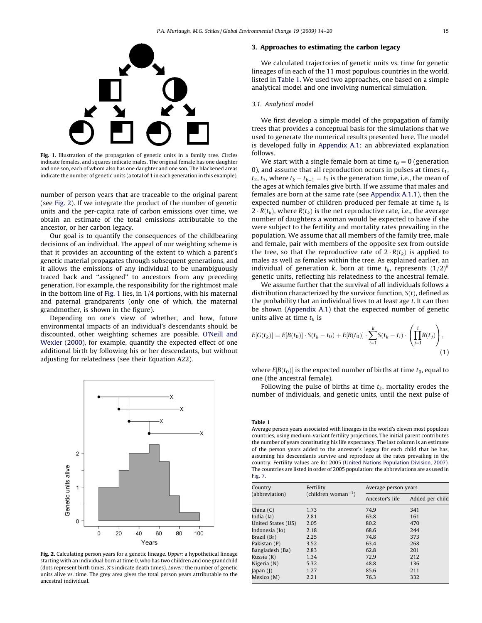

Fig. 1. Illustration of the propagation of genetic units in a family tree. Circles indicate females, and squares indicate males. The original female has one daughter and one son, each of whom also has one daughter and one son. The blackened areas indicate the number of genetic units (a total of 1 in each generation in this example).

number of person years that are traceable to the original parent (see Fig. 2). If we integrate the product of the number of genetic units and the per-capita rate of carbon emissions over time, we obtain an estimate of the total emissions attributable to the ancestor, or her carbon legacy.

Our goal is to quantify the consequences of the childbearing decisions of an individual. The appeal of our weighting scheme is that it provides an accounting of the extent to which a parent's genetic material propagates through subsequent generations, and it allows the emissions of any individual to be unambiguously traced back and ''assigned'' to ancestors from any preceding generation. For example, the responsibility for the rightmost male in the bottom line of Fig. 1 lies, in 1/4 portions, with his maternal and paternal grandparents (only one of which, the maternal grandmother, is shown in the figure).

Depending on one's view of whether, and how, future environmental impacts of an individual's descendants should be discounted, other weighting schemes are possible. O'Neill and Wexler (2000), for example, quantify the expected effect of one additional birth by following his or her descendants, but without adjusting for relatedness (see their Equation A22).



Fig. 2. Calculating person years for a genetic lineage. Upper: a hypothetical lineage starting with an individual born at time 0, who has two children and one grandchild (dots represent birth times, X's indicate death times). Lower: the number of genetic units alive vs. time. The grey area gives the total person years attributable to the ancestral individual.

#### 3. Approaches to estimating the carbon legacy

We calculated trajectories of genetic units vs. time for genetic lineages of in each of the 11 most populous countries in the world, listed in Table 1. We used two approaches, one based on a simple analytical model and one involving numerical simulation.

## 3.1. Analytical model

We first develop a simple model of the propagation of family trees that provides a conceptual basis for the simulations that we used to generate the numerical results presented here. The model is developed fully in Appendix A.1; an abbreviated explanation follows.

We start with a single female born at time  $t_0 = 0$  (generation 0), and assume that all reproduction occurs in pulses at times  $t_1$ ,  $t_2$ ,  $t_3$ , where  $t_k - t_{k-1} = t_1$  is the generation time, i.e., the mean of the ages at which females give birth. If we assume that males and females are born at the same rate (see Appendix A.1.1), then the expected number of children produced per female at time  $t_k$  is 2  $\cdot$   $R(t_k)$ , where  $R(t_k)$  is the net reproductive rate, i.e., the average number of daughters a woman would be expected to have if she were subject to the fertility and mortality rates prevailing in the population. We assume that all members of the family tree, male and female, pair with members of the opposite sex from outside the tree, so that the reproductive rate of  $2 \cdot R(t_k)$  is applied to males as well as females within the tree. As explained earlier, an individual of generation k, born at time  $t_k$ , represents  $(1/2)^k$ genetic units, reflecting his relatedness to the ancestral female.

We assume further that the survival of all individuals follows a distribution characterized by the survivor function,  $S(t)$ , defined as the probability that an individual lives to at least age t. It can then be shown (Appendix A.1) that the expected number of genetic units alive at time  $t_k$  is

$$
E[G(t_k)] = E[B(t_0)] \cdot S(t_k - t_0) + E[B(t_0)] \cdot \sum_{i=1}^k S(t_k - t_i) \cdot \left( \prod_{j=1}^i R(t_j) \right),
$$
\n(1)

where  $E[B(t_0)]$  is the expected number of births at time  $t_0$ , equal to one (the ancestral female).

Following the pulse of births at time  $t_k$ , mortality erodes the number of individuals, and genetic units, until the next pulse of

Table 1

Average person years associated with lineages in the world's eleven most populous countries, using medium-variant fertility projections. The initial parent contributes the number of years constituting his life expectancy. The last column is an estimate of the person years added to the ancestor's legacy for each child that he has, assuming his descendants survive and reproduce at the rates prevailing in the country. Fertility values are for 2005 (United Nations Population Division, 2007). The countries are listed in order of 2005 population; the abbreviations are as used in Fig. 7.

| Country<br>(abbreviation)   | Fertility<br>$\text{(children woman}^{-1})$ | Average person years |                 |
|-----------------------------|---------------------------------------------|----------------------|-----------------|
|                             |                                             | Ancestor's life      | Added per child |
| China (C)                   | 1.73                                        | 74.9                 | 341             |
| India (Ia)                  | 2.81                                        | 63.8                 | 161             |
| United States (US)          | 2.05                                        | 80.2                 | 470             |
| Indonesia (Io)              | 2.18                                        | 68.6                 | 244             |
| Brazil (Br)                 | 2.25                                        | 74.8                 | 373             |
| Pakistan (P)                | 3.52                                        | 63.4                 | 268             |
| Bangladesh (Ba)             | 2.83                                        | 62.8                 | 201             |
| Russia (R)                  | 1.34                                        | 72.9                 | 212             |
| Nigeria (N)                 | 5.32                                        | 48.8                 | 136             |
| $\lambda$ [apan $\lambda$ ] | 1.27                                        | 85.6                 | 211             |
| Mexico (M)                  | 2.21                                        | 76.3                 | 332             |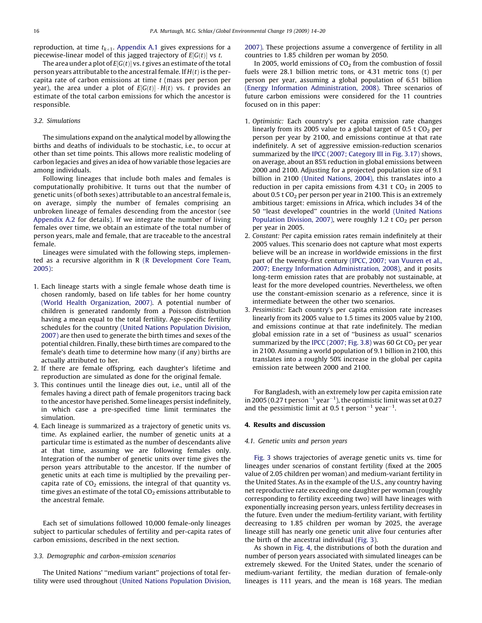reproduction, at time  $t_{k+1}$ . Appendix A.1 gives expressions for a piecewise-linear model of this jagged trajectory of  $E[G(t)]$  vs t.

The area under a plot of  $E[G(t)]$  vs. t gives an estimate of the total person years attributable to the ancestral female. If  $H(t)$  is the percapita rate of carbon emissions at time  $t$  (mass per person per year), the area under a plot of  $E[G(t)]\cdot H(t)$  vs. t provides an estimate of the total carbon emissions for which the ancestor is responsible.

## 3.2. Simulations

The simulations expand on the analytical model by allowing the births and deaths of individuals to be stochastic, i.e., to occur at other than set time points. This allows more realistic modeling of carbon legacies and gives an idea of how variable those legacies are among individuals.

Following lineages that include both males and females is computationally prohibitive. It turns out that the number of genetic units (of both sexes) attributable to an ancestral female is, on average, simply the number of females comprising an unbroken lineage of females descending from the ancestor (see Appendix A.2 for details). If we integrate the number of living females over time, we obtain an estimate of the total number of person years, male and female, that are traceable to the ancestral female.

Lineages were simulated with the following steps, implemented as a recursive algorithm in R (R Development Core Team, 2005):

- 1. Each lineage starts with a single female whose death time is chosen randomly, based on life tables for her home country (World Health Organization, 2007). A potential number of children is generated randomly from a Poisson distribution having a mean equal to the total fertility. Age-specific fertility schedules for the country (United Nations Population Division, 2007) are then used to generate the birth times and sexes of the potential children. Finally, these birth times are compared to the female's death time to determine how many (if any) births are actually attributed to her.
- 2. If there are female offspring, each daughter's lifetime and reproduction are simulated as done for the original female.
- 3. This continues until the lineage dies out, i.e., until all of the females having a direct path of female progenitors tracing back to the ancestor have perished. Some lineages persist indefinitely, in which case a pre-specified time limit terminates the simulation.
- 4. Each lineage is summarized as a trajectory of genetic units vs. time. As explained earlier, the number of genetic units at a particular time is estimated as the number of descendants alive at that time, assuming we are following females only. Integration of the number of genetic units over time gives the person years attributable to the ancestor. If the number of genetic units at each time is multiplied by the prevailing percapita rate of  $CO<sub>2</sub>$  emissions, the integral of that quantity vs. time gives an estimate of the total  $CO<sub>2</sub>$  emissions attributable to the ancestral female.

Each set of simulations followed 10,000 female-only lineages subject to particular schedules of fertility and per-capita rates of carbon emissions, described in the next section.

### 3.3. Demographic and carbon-emission scenarios

The United Nations' ''medium variant'' projections of total fertility were used throughout (United Nations Population Division, 2007). These projections assume a convergence of fertility in all countries to 1.85 children per woman by 2050.

In 2005, world emissions of  $CO<sub>2</sub>$  from the combustion of fossil fuels were 28.1 billion metric tons, or 4.31 metric tons (t) per person per year, assuming a global population of 6.51 billion (Energy Information Administration, 2008). Three scenarios of future carbon emissions were considered for the 11 countries focused on in this paper:

- 1. Optimistic: Each country's per capita emission rate changes linearly from its 2005 value to a global target of 0.5 t  $CO<sub>2</sub>$  per person per year by 2100, and emissions continue at that rate indefinitely. A set of aggressive emission-reduction scenarios summarized by the IPCC (2007; Category III in Fig. 3.17) shows, on average, about an 85% reduction in global emissions between 2000 and 2100. Adjusting for a projected population size of 9.1 billion in 2100 (United Nations, 2004), this translates into a reduction in per capita emissions from  $4.31 \text{ t } CO<sub>2</sub>$  in 2005 to about 0.5 t  $CO<sub>2</sub>$  per person per year in 2100. This is an extremely ambitious target: emissions in Africa, which includes 34 of the 50 ''least developed'' countries in the world (United Nations Population Division, 2007), were roughly 1.2 t  $CO<sub>2</sub>$  per person per year in 2005.
- 2. Constant: Per capita emission rates remain indefinitely at their 2005 values. This scenario does not capture what most experts believe will be an increase in worldwide emissions in the first part of the twenty-first century (IPCC, 2007; van Vuuren et al., 2007; Energy Information Administration, 2008), and it posits long-term emission rates that are probably not sustainable, at least for the more developed countries. Nevertheless, we often use the constant-emission scenario as a reference, since it is intermediate between the other two scenarios.
- 3. Pessimistic: Each country's per capita emission rate increases linearly from its 2005 value to 1.5 times its 2005 value by 2100, and emissions continue at that rate indefinitely. The median global emission rate in a set of ''business as usual'' scenarios summarized by the IPCC (2007; Fig. 3.8) was 60 Gt  $CO<sub>2</sub>$  per year in 2100. Assuming a world population of 9.1 billion in 2100, this translates into a roughly 50% increase in the global per capita emission rate between 2000 and 2100.

For Bangladesh, with an extremely low per capita emission rate in 2005 (0.27 t person $^{-1}$  year $^{-1}$ ), the optimistic limit was set at 0.27 and the pessimistic limit at 0.5 t person<sup>-1</sup> year<sup>-1</sup>.

#### 4. Results and discussion

#### 4.1. Genetic units and person years

Fig. 3 shows trajectories of average genetic units vs. time for lineages under scenarios of constant fertility (fixed at the 2005 value of 2.05 children per woman) and medium-variant fertility in the United States. As in the example of the U.S., any country having net reproductive rate exceeding one daughter per woman (roughly corresponding to fertility exceeding two) will have lineages with exponentially increasing person years, unless fertility decreases in the future. Even under the medium-fertility variant, with fertility decreasing to 1.85 children per woman by 2025, the average lineage still has nearly one genetic unit alive four centuries after the birth of the ancestral individual (Fig. 3).

As shown in Fig. 4, the distributions of both the duration and number of person years associated with simulated lineages can be extremely skewed. For the United States, under the scenario of medium-variant fertility, the median duration of female-only lineages is 111 years, and the mean is 168 years. The median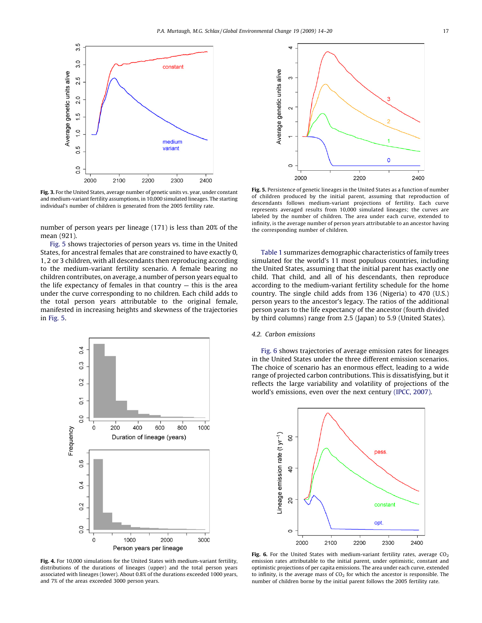

Fig. 3. For the United States, average number of genetic units vs. year, under constant and medium-variant fertility assumptions, in 10,000 simulated lineages. The starting individual's number of children is generated from the 2005 fertility rate.

number of person years per lineage (171) is less than 20% of the mean (921).

Fig. 5 shows trajectories of person years vs. time in the United States, for ancestral females that are constrained to have exactly 0, 1, 2 or 3 children, with all descendants then reproducing according to the medium-variant fertility scenario. A female bearing no children contributes, on average, a number of person years equal to the life expectancy of females in that country  $-$  this is the area under the curve corresponding to no children. Each child adds to the total person years attributable to the original female, manifested in increasing heights and skewness of the trajectories in Fig. 5.



Fig. 4. For 10,000 simulations for the United States with medium-variant fertility, distributions of the durations of lineages (upper) and the total person years associated with lineages (lower). About 0.8% of the durations exceeded 1000 years, and 7% of the areas exceeded 3000 person years.



Fig. 5. Persistence of genetic lineages in the United States as a function of number of children produced by the initial parent, assuming that reproduction of descendants follows medium-variant projections of fertility. Each curve represents averaged results from 10,000 simulated lineages; the curves are labeled by the number of children. The area under each curve, extended to infinity, is the average number of person years attributable to an ancestor having the corresponding number of children.

Table 1 summarizes demographic characteristics of family trees simulated for the world's 11 most populous countries, including the United States, assuming that the initial parent has exactly one child. That child, and all of his descendants, then reproduce according to the medium-variant fertility schedule for the home country. The single child adds from 136 (Nigeria) to 470 (U.S.) person years to the ancestor's legacy. The ratios of the additional person years to the life expectancy of the ancestor (fourth divided by third columns) range from 2.5 (Japan) to 5.9 (United States).

#### 4.2. Carbon emissions

Fig. 6 shows trajectories of average emission rates for lineages in the United States under the three different emission scenarios. The choice of scenario has an enormous effect, leading to a wide range of projected carbon contributions. This is dissatisfying, but it reflects the large variability and volatility of projections of the world's emissions, even over the next century (IPCC, 2007).



Fig. 6. For the United States with medium-variant fertility rates, average  $CO<sub>2</sub>$ emission rates attributable to the initial parent, under optimistic, constant and optimistic projections of per capita emissions. The area under each curve, extended to infinity, is the average mass of  $CO<sub>2</sub>$  for which the ancestor is responsible. The number of children borne by the initial parent follows the 2005 fertility rate.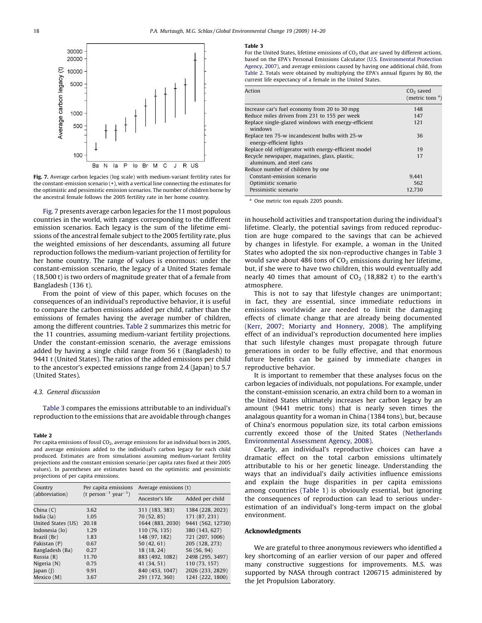

Fig. 7. Average carbon legacies (log scale) with medium-variant fertility rates for the constant-emission scenario (+), with a vertical line connecting the estimates for the optimistic and pessimistic emission scenarios. The number of children borne by the ancestral female follows the 2005 fertility rate in her home country.

Fig. 7 presents average carbon legacies for the 11 most populous countries in the world, with ranges corresponding to the different emission scenarios. Each legacy is the sum of the lifetime emissions of the ancestral female subject to the 2005 fertility rate, plus the weighted emissions of her descendants, assuming all future reproduction follows the medium-variant projection of fertility for her home country. The range of values is enormous: under the constant-emission scenario, the legacy of a United States female (18,500 t) is two orders of magnitude greater that of a female from Bangladesh (136 t).

From the point of view of this paper, which focuses on the consequences of an individual's reproductive behavior, it is useful to compare the carbon emissions added per child, rather than the emissions of females having the average number of children, among the different countries. Table 2 summarizes this metric for the 11 countries, assuming medium-variant fertility projections. Under the constant-emission scenario, the average emissions added by having a single child range from 56 t (Bangladesh) to 9441 t (United States). The ratios of the added emissions per child to the ancestor's expected emissions range from 2.4 (Japan) to 5.7 (United States).

#### 4.3. General discussion

Table 3 compares the emissions attributable to an individual's reproduction to the emissions that are avoidable through changes

#### Table 2

Per capita emissions of fossil CO<sub>2</sub>, average emissions for an individual born in 2005, and average emissions added to the individual's carbon legacy for each child produced. Estimates are from simulations assuming medium-variant fertility projections and the constant emission scenario (per capita rates fixed at their 2005 values). In parentheses are estimates based on the optimistic and pessimistic projections of per capita emissions.

| Country<br>(abbreviation) | Per capita emissions<br>(t person <sup>-1</sup> year <sup>-1</sup> ) | Average emissions (t) |                   |
|---------------------------|----------------------------------------------------------------------|-----------------------|-------------------|
|                           |                                                                      | Ancestor's life       | Added per child   |
| China $(C)$               | 3.62                                                                 | 311 (183, 383)        | 1384 (228, 2023)  |
| India (Ia)                | 1.05                                                                 | 70 (52, 85)           | 171 (87, 231)     |
| United States (US)        | 20.18                                                                | 1644 (883, 2030)      | 9441 (562, 12730) |
| Indonesia (Io)            | 1.29                                                                 | 110 (76, 135)         | 380 (143, 627)    |
| Brazil (Br)               | 1.83                                                                 | 148 (97, 182)         | 721 (207, 1006)   |
| Pakistan (P)              | 0.67                                                                 | 50(42, 61)            | 205 (128, 273)    |
| Bangladesh (Ba)           | 0.27                                                                 | 18 (18, 24)           | 56 (56, 94)       |
| Russia (R)                | 11.70                                                                | 883 (492, 1082)       | 2498 (295, 3497)  |
| Nigeria (N)               | 0.75                                                                 | 41 (34, 51)           | 110 (73, 157)     |
| Japan $($ ] $)$           | 9.91                                                                 | 840 (453, 1047)       | 2026 (233, 2829)  |
| Mexico (M)                | 3.67                                                                 | 291 (172, 360)        | 1241 (222, 1800)  |

#### Table 3

For the United States, lifetime emissions of  $CO<sub>2</sub>$  that are saved by different actions, based on the EPA's Personal Emissions Calculator (U.S. Environmental Protection Agency, 2007), and average emissions caused by having one additional child, from Table 2. Totals were obtained by multiplying the EPA's annual figures by 80, the current life expectancy of a female in the United States.

| Action                                                                    | $CO2$ saved<br>(metric tons $a$ ) |
|---------------------------------------------------------------------------|-----------------------------------|
| Increase car's fuel economy from 20 to 30 mpg                             | 148                               |
| Reduce miles driven from 231 to 155 per week                              | 147                               |
| Replace single-glazed windows with energy-efficient<br>windows            | 121                               |
| Replace ten 75-w incandescent bulbs with 25-w<br>energy-efficient lights  | 36                                |
| Replace old refrigerator with energy-efficient model                      | 19                                |
| Recycle newspaper, magazines, glass, plastic,<br>aluminum, and steel cans | 17                                |
| Reduce number of children by one                                          |                                   |
| Constant-emission scenario                                                | 9.441                             |
| Optimistic scenario                                                       | 562                               |
| Pessimistic scenario                                                      | 12.730                            |

<sup>a</sup> One metric ton equals 2205 pounds.

in household activities and transportation during the individual's lifetime. Clearly, the potential savings from reduced reproduction are huge compared to the savings that can be achieved by changes in lifestyle. For example, a woman in the United States who adopted the six non-reproductive changes in Table 3 would save about 486 tons of  $CO<sub>2</sub>$  emissions during her lifetime, but, if she were to have two children, this would eventually add nearly 40 times that amount of  $CO<sub>2</sub>$  (18,882 t) to the earth's atmosphere.

This is not to say that lifestyle changes are unimportant; in fact, they are essential, since immediate reductions in emissions worldwide are needed to limit the damaging effects of climate change that are already being documented (Kerr, 2007; Moriarty and Honnery, 2008). The amplifying effect of an individual's reproduction documented here implies that such lifestyle changes must propagate through future generations in order to be fully effective, and that enormous future benefits can be gained by immediate changes in reproductive behavior.

It is important to remember that these analyses focus on the carbon legacies of individuals, not populations. For example, under the constant-emission scenario, an extra child born to a woman in the United States ultimately increases her carbon legacy by an amount (9441 metric tons) that is nearly seven times the analagous quantity for a woman in China (1384 tons), but, because of China's enormous population size, its total carbon emissions currently exceed those of the United States (Netherlands Environmental Assessment Agency, 2008).

Clearly, an individual's reproductive choices can have a dramatic effect on the total carbon emissions ultimately attributable to his or her genetic lineage. Understanding the ways that an individual's daily activities influence emissions and explain the huge disparities in per capita emissions among countries (Table 1) is obviously essential, but ignoring the consequences of reproduction can lead to serious underestimation of an individual's long-term impact on the global environment.

#### Acknowledgments

We are grateful to three anonymous reviewers who identified a key shortcoming of an earlier version of our paper and offered many constructive suggestions for improvements. M.S. was supported by NASA through contract 1206715 administered by the Jet Propulsion Laboratory.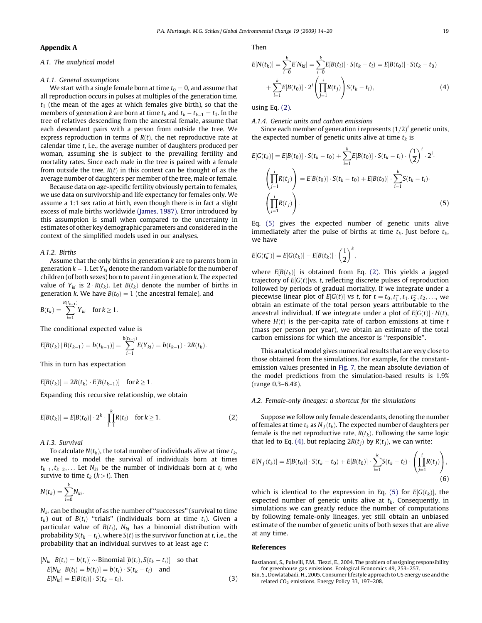#### Appendix A

#### A.1. The analytical model

#### A.1.1. General assumptions

We start with a single female born at time  $t_0 = 0$ , and assume that all reproduction occurs in pulses at multiples of the generation time,  $t_1$  (the mean of the ages at which females give birth), so that the members of generation k are born at time  $t_k$  and  $t_k - t_{k-1} = t_1$ . In the tree of relatives descending from the ancestral female, assume that each descendant pairs with a person from outside the tree. We express reproduction in terms of  $R(t)$ , the net reproductive rate at calendar time  $t$ , i.e., the average number of daughters produced per woman, assuming she is subject to the prevailing fertility and mortality rates. Since each male in the tree is paired with a female from outside the tree,  $R(t)$  in this context can be thought of as the average number of daughters per member of the tree, male or female.

Because data on age-specific fertility obviously pertain to females, we use data on survivorship and life expectancy for females only. We assume a 1:1 sex ratio at birth, even though there is in fact a slight excess of male births worldwide (James, 1987). Error introduced by this assumption is small when compared to the uncertainty in estimates of other key demographic parameters and considered in the context of the simplified models used in our analyses.

#### A.1.2. Births

Assume that the only births in generation k are to parents born in generation  $k - 1$ . Let Y<sub>ki</sub> denote the random variable for the number of children (of both sexes) born to parent  $i$  in generation  $k$ . The expected value of  $Y_{ki}$  is  $2 \cdot R(t_k)$ . Let  $B(t_k)$  denote the number of births in generation k. We have  $B(t_0) = 1$  (the ancestral female), and

$$
B(t_k) = \sum_{i=1}^{B(t_{k-1})} Y_{ki} \quad \text{for } k \ge 1.
$$

The conditional expected value is

$$
E[B(t_k) | B(t_{k-1}) = b(t_{k-1})] = \sum_{i=1}^{b(t_{k-1})} E(Y_{ki}) = b(t_{k-1}) \cdot 2R(t_k).
$$

This in turn has expectation

$$
E[B(t_k)] = 2R(t_k) \cdot E[B(t_{k-1})] \quad \text{for } k \geq 1.
$$

Expanding this recursive relationship, we obtain

$$
E[B(t_k)] = E[B(t_0)] \cdot 2^k \cdot \prod_{i=1}^k R(t_i) \quad \text{for } k \ge 1.
$$
 (2)

A.1.3. Survival

To calculate  $N(t_k)$ , the total number of individuals alive at time  $t_k$ , we need to model the survival of individuals born at times  $t_{k-1}, t_{k-2}, \ldots$  Let  $N_{ki}$  be the number of individuals born at  $t_i$  who survive to time  $t_k$  ( $k > i$ ). Then

$$
N(t_k) = \sum_{i=0}^k N_{ki}.
$$

 $N_{ki}$  can be thought of as the number of "successes" (survival to time  $t_k$ ) out of  $B(t_i)$  "trials" (individuals born at time  $t_i$ ). Given a particular value of  $B(t_i)$ ,  $N_{ki}$  has a binomial distribution with probability  $S(t_k - t_i)$ , where  $S(t)$  is the survivor function at t, i.e., the probability that an individual survives to at least age t:

$$
[N_{ki} | B(t_i) = b(t_i)] \sim \text{Binomial}[b(t_i), S(t_k - t_i)] \quad \text{so that}
$$
  
\n
$$
E[N_{ki} | B(t_i) = b(t_i)] = b(t_i) \cdot S(t_k - t_i) \quad \text{and}
$$
  
\n
$$
E[N_{ki}] = E[B(t_i)] \cdot S(t_k - t_i).
$$
\n(3)

Then

$$
E[N(t_k)] = \sum_{i=0}^{k} E[N_{ki}] = \sum_{i=0}^{k} E[B(t_i)] \cdot S(t_k - t_i) = E[B(t_0)] \cdot S(t_k - t_0)
$$
  
+ 
$$
\sum_{i=1}^{k} E[B(t_0)] \cdot 2^i \left(\prod_{j=1}^{i} R(t_j)\right) S(t_k - t_i),
$$
 (4)

using Eq. (2).

#### A.1.4. Genetic units and carbon emissions

Since each member of generation *i* represents  $(1/2)^i$  genetic units, the expected number of genetic units alive at time  $t_k$  is

$$
E[G(t_k)] = E[B(t_0)] \cdot S(t_k - t_0) + \sum_{i=1}^k E[B(t_0)] \cdot S(t_k - t_i) \cdot \left(\frac{1}{2}\right)^i \cdot 2^i.
$$

$$
\left(\prod_{j=1}^i R(t_j)\right) = E[B(t_0)] \cdot S(t_k - t_0) + E[B(t_0)] \cdot \sum_{i=1}^k S(t_k - t_i).
$$

$$
\left(\prod_{j=1}^i R(t_j)\right). \tag{5}
$$

Eq. (5) gives the expected number of genetic units alive immediately after the pulse of births at time  $t_k$ . Just before  $t_k$ , we have

$$
E[G(t_k^-)] = E[G(t_k)] - E[B(t_k)] \cdot \left(\frac{1}{2}\right)^k,
$$

where  $E[B(t_k)]$  is obtained from Eq. (2). This yields a jagged trajectory of  $E[G(t)]$ vs. t, reflecting discrete pulses of reproduction followed by periods of gradual mortality. If we integrate under a piecewise linear plot of  $E[G(t)]$  vs t, for  $t = t_0, t_1^-, t_1, t_2^-, t_2, \ldots$ , we obtain an estimate of the total person years attributable to the ancestral individual. If we integrate under a plot of  $E[G(t)] \cdot H(t)$ , where  $H(t)$  is the per-capita rate of carbon emissions at time t (mass per person per year), we obtain an estimate of the total carbon emissions for which the ancestor is ''responsible''.

This analytical model gives numerical results that are very close to those obtained from the simulations. For example, for the constantemission values presented in Fig. 7, the mean absolute deviation of the model predictions from the simulation-based results is 1.9% (range 0.3–6.4%).

#### A.2. Female-only lineages: a shortcut for the simulations

Suppose we follow only female descendants, denoting the number of females at time  $t_k$  as  $N_f(t_k)$ . The expected number of daughters per female is the net reproductive rate,  $R(t_k)$ . Following the same logic that led to Eq. (4), but replacing  $2R(t_i)$  by  $R(t_i)$ , we can write:

$$
E[N_f(t_k)] = E[B(t_0)] \cdot S(t_k - t_0) + E[B(t_0)] \cdot \sum_{i=1}^k S(t_k - t_i) \cdot \left(\prod_{j=1}^i R(t_j)\right),\tag{6}
$$

which is identical to the expression in Eq. (5) for  $E[G(t_k)]$ , the expected number of genetic units alive at  $t_k$ . Consequently, in simulations we can greatly reduce the number of computations by following female-only lineages, yet still obtain an unbiased estimate of the number of genetic units of both sexes that are alive at any time.

#### References

Bastianoni, S., Pulselli, F.M., Tiezzi, E., 2004. The problem of assigning responsibility for greenhouse gas emissions. Ecological Economics 49, 253–257.

Bin, S., Dowlatabadi, H., 2005. Consumer lifestyle approach to US energy use and the related CO<sub>2</sub> emissions. Energy Policy 33, 197-208.